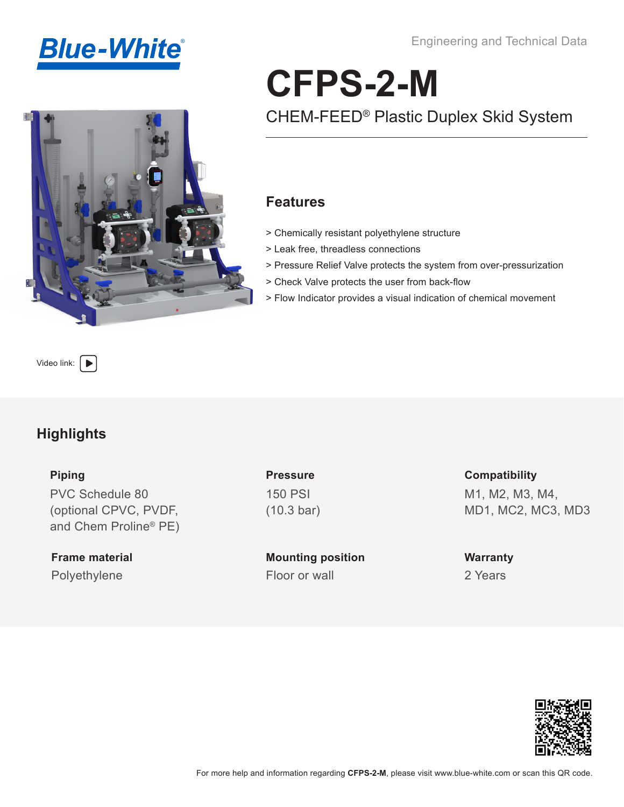Engineering and Technical Data





# CHEM-FEED® Plastic Duplex Skid System **CFPS-2-M**

### **Features**

- > Chemically resistant polyethylene structure
- > Leak free, threadless connections
- > Pressure Relief Valve protects the system from over-pressurization
- > Check Valve protects the user from back-flow
- > Flow Indicator provides a visual indication of chemical movement

[Video link:](https://www.youtube.com/playlist?list=PLhdL_scmDDq6PaaaOjqm7F-hvdHIkZtyM)  $\Box$ 

### **Highlights**

#### **Piping**

PVC Schedule 80 (optional CPVC, PVDF, and Chem Proline® PE)

**Frame material** Polyethylene Floor or wall

**Pressure** 150 PSI (10.3 bar)

**Mounting position**

**Compatibility** M1, M2, M3, M4, MD1, MC2, MC3, MD3

**Warranty** 2 Years

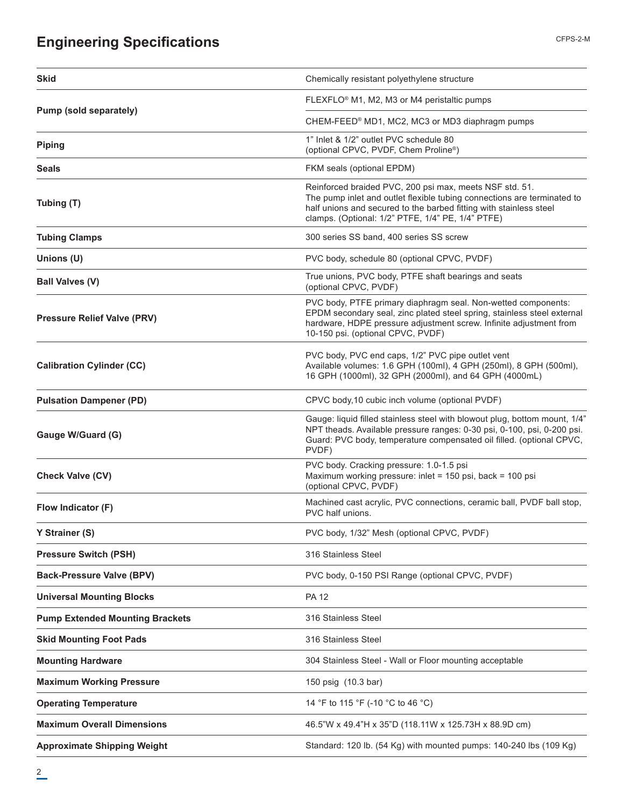# **Engineering Specifications**

| Skid                                   | Chemically resistant polyethylene structure                                                                                                                                                                                                                   |
|----------------------------------------|---------------------------------------------------------------------------------------------------------------------------------------------------------------------------------------------------------------------------------------------------------------|
|                                        | FLEXFLO® M1, M2, M3 or M4 peristaltic pumps                                                                                                                                                                                                                   |
| Pump (sold separately)                 | CHEM-FEED® MD1, MC2, MC3 or MD3 diaphragm pumps                                                                                                                                                                                                               |
| <b>Piping</b>                          | 1" Inlet & 1/2" outlet PVC schedule 80<br>(optional CPVC, PVDF, Chem Proline®)                                                                                                                                                                                |
| <b>Seals</b>                           | FKM seals (optional EPDM)                                                                                                                                                                                                                                     |
| Tubing (T)                             | Reinforced braided PVC, 200 psi max, meets NSF std. 51.<br>The pump inlet and outlet flexible tubing connections are terminated to<br>half unions and secured to the barbed fitting with stainless steel<br>clamps. (Optional: 1/2" PTFE, 1/4" PE, 1/4" PTFE) |
| <b>Tubing Clamps</b>                   | 300 series SS band, 400 series SS screw                                                                                                                                                                                                                       |
| Unions (U)                             | PVC body, schedule 80 (optional CPVC, PVDF)                                                                                                                                                                                                                   |
| <b>Ball Valves (V)</b>                 | True unions, PVC body, PTFE shaft bearings and seats<br>(optional CPVC, PVDF)                                                                                                                                                                                 |
| <b>Pressure Relief Valve (PRV)</b>     | PVC body, PTFE primary diaphragm seal. Non-wetted components:<br>EPDM secondary seal, zinc plated steel spring, stainless steel external<br>hardware, HDPE pressure adjustment screw. Infinite adjustment from<br>10-150 psi. (optional CPVC, PVDF)           |
| <b>Calibration Cylinder (CC)</b>       | PVC body, PVC end caps, 1/2" PVC pipe outlet vent<br>Available volumes: 1.6 GPH (100ml), 4 GPH (250ml), 8 GPH (500ml),<br>16 GPH (1000ml), 32 GPH (2000ml), and 64 GPH (4000mL)                                                                               |
| <b>Pulsation Dampener (PD)</b>         | CPVC body, 10 cubic inch volume (optional PVDF)                                                                                                                                                                                                               |
| Gauge W/Guard (G)                      | Gauge: liquid filled stainless steel with blowout plug, bottom mount, 1/4"<br>NPT theads. Available pressure ranges: 0-30 psi, 0-100, psi, 0-200 psi.<br>Guard: PVC body, temperature compensated oil filled. (optional CPVC,<br>PVDF)                        |
| <b>Check Valve (CV)</b>                | PVC body. Cracking pressure: 1.0-1.5 psi<br>Maximum working pressure: inlet = 150 psi, back = 100 psi<br>(optional CPVC, PVDF)                                                                                                                                |
| Flow Indicator (F)                     | Machined cast acrylic, PVC connections, ceramic ball, PVDF ball stop,<br>PVC half unions.                                                                                                                                                                     |
| Y Strainer (S)                         | PVC body, 1/32" Mesh (optional CPVC, PVDF)                                                                                                                                                                                                                    |
| <b>Pressure Switch (PSH)</b>           | 316 Stainless Steel                                                                                                                                                                                                                                           |
| <b>Back-Pressure Valve (BPV)</b>       | PVC body, 0-150 PSI Range (optional CPVC, PVDF)                                                                                                                                                                                                               |
| <b>Universal Mounting Blocks</b>       | <b>PA 12</b>                                                                                                                                                                                                                                                  |
| <b>Pump Extended Mounting Brackets</b> | 316 Stainless Steel                                                                                                                                                                                                                                           |
| <b>Skid Mounting Foot Pads</b>         | 316 Stainless Steel                                                                                                                                                                                                                                           |
| <b>Mounting Hardware</b>               | 304 Stainless Steel - Wall or Floor mounting acceptable                                                                                                                                                                                                       |
| <b>Maximum Working Pressure</b>        | 150 psig (10.3 bar)                                                                                                                                                                                                                                           |
| <b>Operating Temperature</b>           | 14 °F to 115 °F (-10 °C to 46 °C)                                                                                                                                                                                                                             |
| <b>Maximum Overall Dimensions</b>      | 46.5"W x 49.4"H x 35"D (118.11W x 125.73H x 88.9D cm)                                                                                                                                                                                                         |
| <b>Approximate Shipping Weight</b>     | Standard: 120 lb. (54 Kg) with mounted pumps: 140-240 lbs (109 Kg)                                                                                                                                                                                            |

CFPS-2-M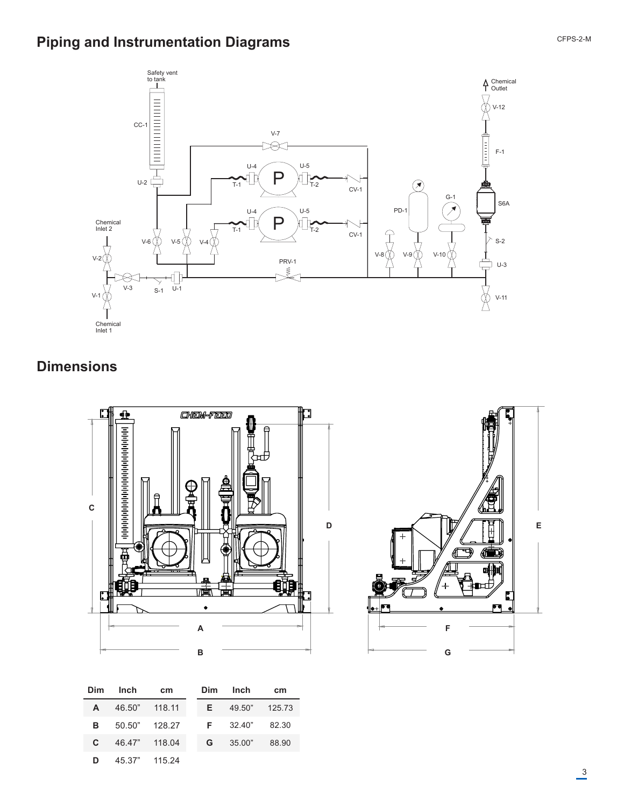# **Piping and Instrumentation Diagrams**



## **Dimensions**



| Dim          | Inch          | <b>cm</b> | Dim | Inch          | cm    |
|--------------|---------------|-----------|-----|---------------|-------|
| A            | 46.50" 118.11 |           | E.  | 49.50" 125.73 |       |
| в.           | 50.50" 128.27 |           |     | $F = 32.40"$  | 82.30 |
| $\mathbf{c}$ | 46.47" 118.04 |           | G.  | 35.00"        | 88.90 |
| D            | 45.37" 115.24 |           |     |               |       |